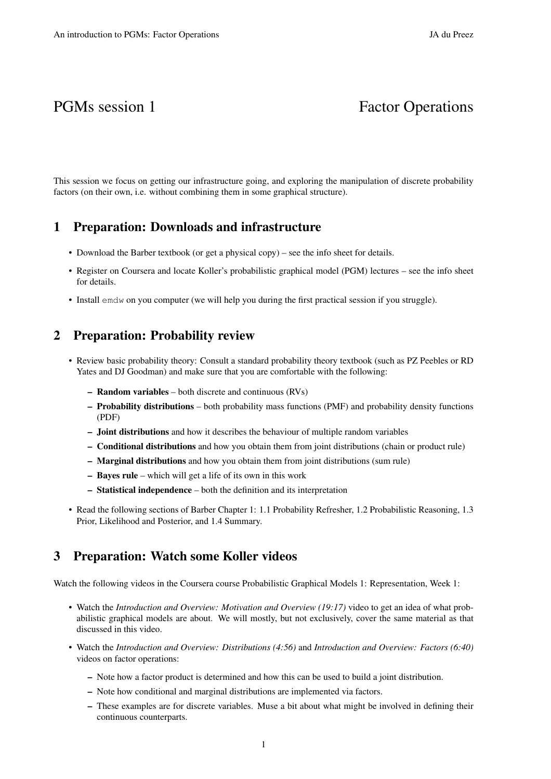# PGMs session 1 Factor Operations

This session we focus on getting our infrastructure going, and exploring the manipulation of discrete probability factors (on their own, i.e. without combining them in some graphical structure).

#### 1 Preparation: Downloads and infrastructure

- Download the Barber textbook (or get a physical copy) see the info sheet for details.
- Register on Coursera and locate Koller's probabilistic graphical model (PGM) lectures see the info sheet for details.
- Install emdw on you computer (we will help you during the first practical session if you struggle).

#### 2 Preparation: Probability review

- Review basic probability theory: Consult a standard probability theory textbook (such as PZ Peebles or RD Yates and DJ Goodman) and make sure that you are comfortable with the following:
	- Random variables both discrete and continuous (RVs)
	- Probability distributions both probability mass functions (PMF) and probability density functions (PDF)
	- Joint distributions and how it describes the behaviour of multiple random variables
	- Conditional distributions and how you obtain them from joint distributions (chain or product rule)
	- Marginal distributions and how you obtain them from joint distributions (sum rule)
	- Bayes rule which will get a life of its own in this work
	- Statistical independence both the definition and its interpretation
- Read the following sections of Barber Chapter 1: 1.1 Probability Refresher, 1.2 Probabilistic Reasoning, 1.3 Prior, Likelihood and Posterior, and 1.4 Summary.

## 3 Preparation: Watch some Koller videos

Watch the following videos in the Coursera course Probabilistic Graphical Models 1: Representation, Week 1:

- Watch the *Introduction and Overview: Motivation and Overview (19:17)* video to get an idea of what probabilistic graphical models are about. We will mostly, but not exclusively, cover the same material as that discussed in this video.
- Watch the *Introduction and Overview: Distributions (4:56)* and *Introduction and Overview: Factors (6:40)* videos on factor operations:
	- Note how a factor product is determined and how this can be used to build a joint distribution.
	- Note how conditional and marginal distributions are implemented via factors.
	- These examples are for discrete variables. Muse a bit about what might be involved in defining their continuous counterparts.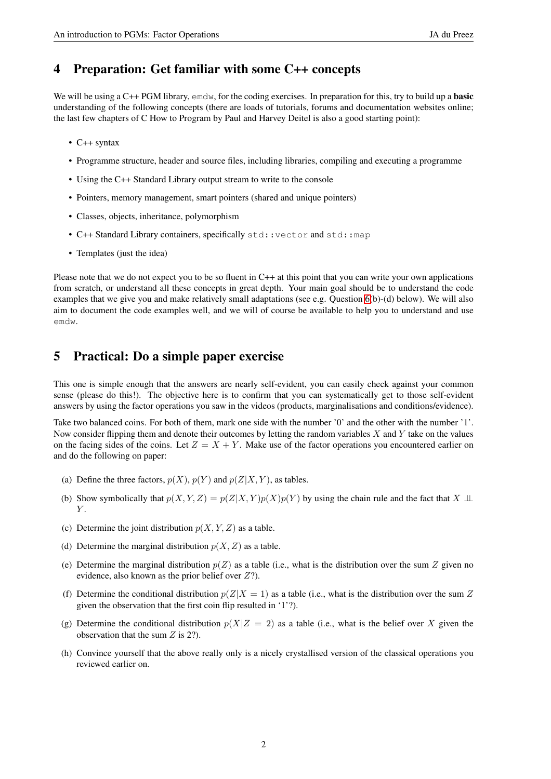#### 4 Preparation: Get familiar with some C++ concepts

We will be using a C++ PGM library, emdw, for the coding exercises. In preparation for this, try to build up a **basic** understanding of the following concepts (there are loads of tutorials, forums and documentation websites online; the last few chapters of C How to Program by Paul and Harvey Deitel is also a good starting point):

- C++ syntax
- Programme structure, header and source files, including libraries, compiling and executing a programme
- Using the C++ Standard Library output stream to write to the console
- Pointers, memory management, smart pointers (shared and unique pointers)
- Classes, objects, inheritance, polymorphism
- C++ Standard Library containers, specifically std::vector and std::map
- Templates (just the idea)

Please note that we do not expect you to be so fluent in C++ at this point that you can write your own applications from scratch, or understand all these concepts in great depth. Your main goal should be to understand the code examples that we give you and make relatively small adaptations (see e.g. Question [6\(](#page-2-0)b)-(d) below). We will also aim to document the code examples well, and we will of course be available to help you to understand and use emdw.

## <span id="page-1-0"></span>5 Practical: Do a simple paper exercise

This one is simple enough that the answers are nearly self-evident, you can easily check against your common sense (please do this!). The objective here is to confirm that you can systematically get to those self-evident answers by using the factor operations you saw in the videos (products, marginalisations and conditions/evidence).

Take two balanced coins. For both of them, mark one side with the number '0' and the other with the number '1'. Now consider flipping them and denote their outcomes by letting the random variables  $X$  and  $Y$  take on the values on the facing sides of the coins. Let  $Z = X + Y$ . Make use of the factor operations you encountered earlier on and do the following on paper:

- (a) Define the three factors,  $p(X)$ ,  $p(Y)$  and  $p(Z|X, Y)$ , as tables.
- (b) Show symbolically that  $p(X, Y, Z) = p(Z|X, Y)p(X)p(Y)$  by using the chain rule and the fact that  $X \perp \perp$  $Y$ .
- (c) Determine the joint distribution  $p(X, Y, Z)$  as a table.
- (d) Determine the marginal distribution  $p(X, Z)$  as a table.
- (e) Determine the marginal distribution  $p(Z)$  as a table (i.e., what is the distribution over the sum Z given no evidence, also known as the prior belief over  $Z$ ?).
- (f) Determine the conditional distribution  $p(Z|X = 1)$  as a table (i.e., what is the distribution over the sum Z given the observation that the first coin flip resulted in '1'?).
- (g) Determine the conditional distribution  $p(X|Z = 2)$  as a table (i.e., what is the belief over X given the observation that the sum  $Z$  is 2?).
- (h) Convince yourself that the above really only is a nicely crystallised version of the classical operations you reviewed earlier on.